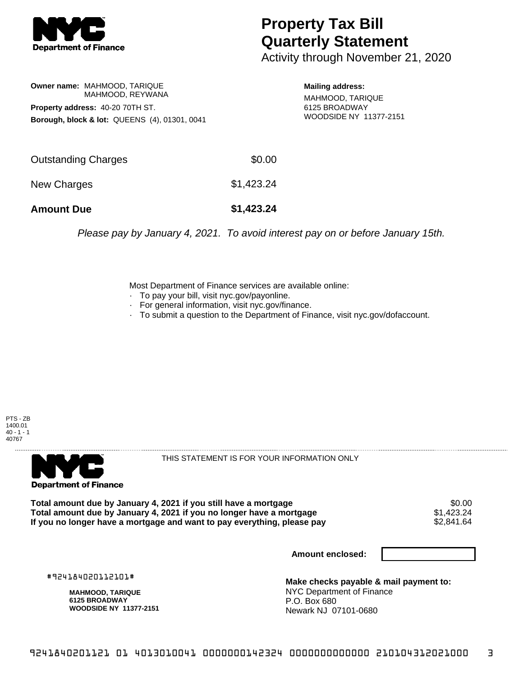

## **Property Tax Bill Quarterly Statement**

Activity through November 21, 2020

**Owner name:** MAHMOOD, TARIQUE MAHMOOD, REYWANA **Property address:** 40-20 70TH ST. **Borough, block & lot:** QUEENS (4), 01301, 0041

**Mailing address:** MAHMOOD, TARIQUE 6125 BROADWAY WOODSIDE NY 11377-2151

| <b>Amount Due</b>   | \$1,423.24 |
|---------------------|------------|
| New Charges         | \$1,423.24 |
| Outstanding Charges | \$0.00     |

Please pay by January 4, 2021. To avoid interest pay on or before January 15th.

Most Department of Finance services are available online:

- · To pay your bill, visit nyc.gov/payonline.
- For general information, visit nyc.gov/finance.
- · To submit a question to the Department of Finance, visit nyc.gov/dofaccount.





THIS STATEMENT IS FOR YOUR INFORMATION ONLY

Total amount due by January 4, 2021 if you still have a mortgage \$0.00<br>Total amount due by January 4, 2021 if you no longer have a mortgage \$1.423.24 **Total amount due by January 4, 2021 if you no longer have a mortgage**  $$1,423.24$ **<br>If you no longer have a mortgage and want to pay everything, please pay**  $$2,841.64$ If you no longer have a mortgage and want to pay everything, please pay

**Amount enclosed:**

#924184020112101#

**MAHMOOD, TARIQUE 6125 BROADWAY WOODSIDE NY 11377-2151**

**Make checks payable & mail payment to:** NYC Department of Finance P.O. Box 680 Newark NJ 07101-0680